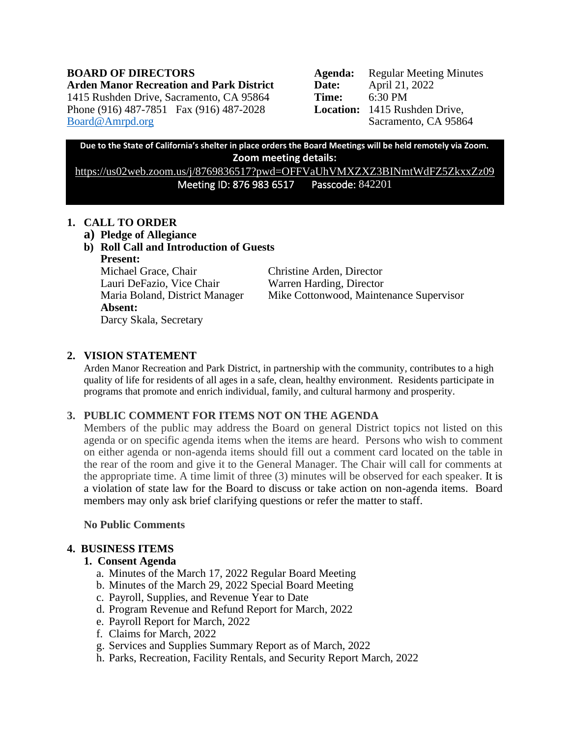**Arden Manor Recreation and Park District Date:** April 21, 2022 1415 Rushden Drive, Sacramento, CA 95864 **Time:** 6:30 PM Phone (916) 487-7851 Fax (916) 487-2028 **Location:** 1415 Rushden Drive, [Board@Amrpd.org](mailto:Board@Amrpd.org) Sacramento, CA 95864

**BOARD OF DIRECTORS Agenda:** Regular Meeting Minutes

**Due to the State of California's shelter in place orders the Board Meetings will be held remotely via Zoom. Zoom meeting details:**

<https://us02web.zoom.us/j/8769836517?pwd=OFFVaUhVMXZXZ3BINmtWdFZ5ZkxxZz09> Meeting ID: 876 983 6517 Passcode: 842201

## **1. CALL TO ORDER**

- **a) Pledge of Allegiance**
- **b) Roll Call and Introduction of Guests Present:**

Michael Grace, Chair Christine Arden, Director Lauri DeFazio, Vice Chair Warren Harding, Director **Absent:** Darcy Skala, Secretary

Maria Boland, District Manager Mike Cottonwood, Maintenance Supervisor

# **2. VISION STATEMENT**

Arden Manor Recreation and Park District, in partnership with the community, contributes to a high quality of life for residents of all ages in a safe, clean, healthy environment. Residents participate in programs that promote and enrich individual, family, and cultural harmony and prosperity.

# **3. PUBLIC COMMENT FOR ITEMS NOT ON THE AGENDA**

Members of the public may address the Board on general District topics not listed on this agenda or on specific agenda items when the items are heard. Persons who wish to comment on either agenda or non-agenda items should fill out a comment card located on the table in the rear of the room and give it to the General Manager. The Chair will call for comments at the appropriate time. A time limit of three (3) minutes will be observed for each speaker. It is a violation of state law for the Board to discuss or take action on non-agenda items. Board members may only ask brief clarifying questions or refer the matter to staff.

**No Public Comments**

# **4. BUSINESS ITEMS**

## **1. Consent Agenda**

- a. Minutes of the March 17, 2022 Regular Board Meeting
- b. Minutes of the March 29, 2022 Special Board Meeting
- c. Payroll, Supplies, and Revenue Year to Date
- d. Program Revenue and Refund Report for March, 2022
- e. Payroll Report for March, 2022
- f. Claims for March, 2022
- g. Services and Supplies Summary Report as of March, 2022
- h. Parks, Recreation, Facility Rentals, and Security Report March, 2022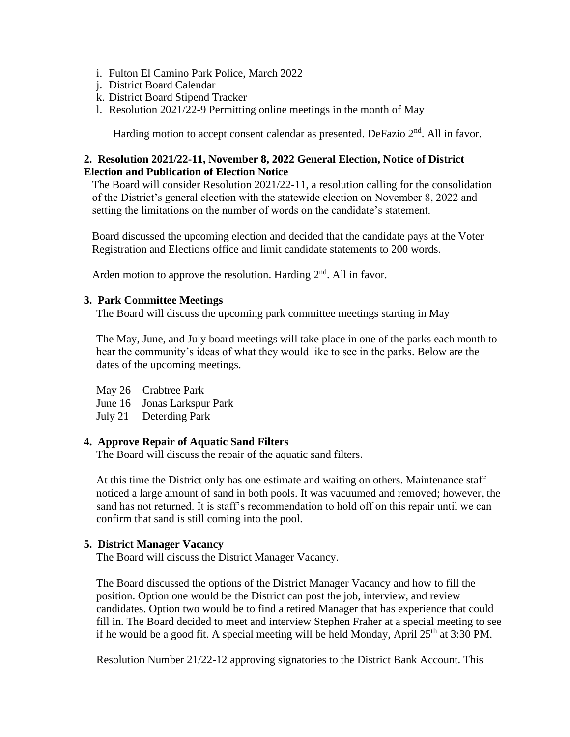- i. Fulton El Camino Park Police, March 2022
- j. District Board Calendar
- k. District Board Stipend Tracker
- l. Resolution 2021/22-9 Permitting online meetings in the month of May

Harding motion to accept consent calendar as presented. DeFazio  $2<sup>nd</sup>$ . All in favor.

## **2. Resolution 2021/22-11, November 8, 2022 General Election, Notice of District Election and Publication of Election Notice**

The Board will consider Resolution 2021/22-11, a resolution calling for the consolidation of the District's general election with the statewide election on November 8, 2022 and setting the limitations on the number of words on the candidate's statement.

Board discussed the upcoming election and decided that the candidate pays at the Voter Registration and Elections office and limit candidate statements to 200 words.

Arden motion to approve the resolution. Harding  $2<sup>nd</sup>$ . All in favor.

### **3. Park Committee Meetings**

The Board will discuss the upcoming park committee meetings starting in May

The May, June, and July board meetings will take place in one of the parks each month to hear the community's ideas of what they would like to see in the parks. Below are the dates of the upcoming meetings.

May 26 Crabtree Park

June 16 Jonas Larkspur Park

July 21 Deterding Park

#### **4. Approve Repair of Aquatic Sand Filters**

The Board will discuss the repair of the aquatic sand filters.

At this time the District only has one estimate and waiting on others. Maintenance staff noticed a large amount of sand in both pools. It was vacuumed and removed; however, the sand has not returned. It is staff's recommendation to hold off on this repair until we can confirm that sand is still coming into the pool.

## **5. District Manager Vacancy**

The Board will discuss the District Manager Vacancy.

The Board discussed the options of the District Manager Vacancy and how to fill the position. Option one would be the District can post the job, interview, and review candidates. Option two would be to find a retired Manager that has experience that could fill in. The Board decided to meet and interview Stephen Fraher at a special meeting to see if he would be a good fit. A special meeting will be held Monday, April  $25<sup>th</sup>$  at 3:30 PM.

Resolution Number 21/22-12 approving signatories to the District Bank Account. This